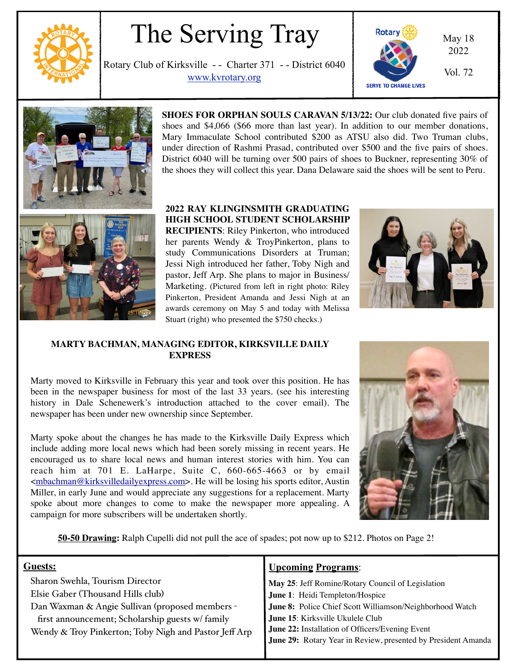

# The Serving Tray

Rotary Club of Kirksville - - Charter 371 - - District 6040 WWW.kvrotary.org Vol. 72





**SHOES FOR ORPHAN SOULS CARAVAN 5/13/22:** Our club donated five pairs of shoes and \$4,066 (\$66 more than last year). In addition to our member donations, Mary Immaculate School contributed \$200 as ATSU also did. Two Truman clubs, under direction of Rashmi Prasad, contributed over \$500 and the five pairs of shoes. District 6040 will be turning over 500 pairs of shoes to Buckner, representing 30% of the shoes they will collect this year. Dana Delaware said the shoes will be sent to Peru.

### **2022 RAY KLINGINSMITH GRADUATING HIGH SCHOOL STUDENT SCHOLARSHIP**

**RECIPIENTS**: Riley Pinkerton, who introduced her parents Wendy & TroyPinkerton, plans to study Communications Disorders at Truman; Jessi Nigh introduced her father, Toby Nigh and pastor, Jeff Arp. She plans to major in Business/ Marketing. (Pictured from left in right photo: Riley Pinkerton, President Amanda and Jessi Nigh at an awards ceremony on May 5 and today with Melissa Stuart (right) who presented the \$750 checks.)



#### **MARTY BACHMAN, MANAGING EDITOR, KIRKSVILLE DAILY EXPRESS**

Marty moved to Kirksville in February this year and took over this position. He has been in the newspaper business for most of the last 33 years. (see his interesting history in Dale Schenewerk's introduction attached to the cover email). The newspaper has been under new ownership since September.

Marty spoke about the changes he has made to the Kirksville Daily Express which include adding more local news which had been sorely missing in recent years. He encouraged us to share local news and human interest stories with him. You can reach him at 701 E. LaHarpe, Suite C, 660-665-4663 or by email [<mbachman@kirksvilledailyexpress.com>](mailto:mbachman@kirksvilledailyexpress.com). He will be losing his sports editor, Austin Miller, in early June and would appreciate any suggestions for a replacement. Marty spoke about more changes to come to make the newspaper more appealing. A campaign for more subscribers will be undertaken shortly.



**50-50 Drawing:** Ralph Cupelli did not pull the ace of spades; pot now up to \$212. Photos on Page 2!

| Guests:                                               | <b>Upcoming Programs:</b>                                     |
|-------------------------------------------------------|---------------------------------------------------------------|
| Sharon Swehla, Tourism Director                       | May 25: Jeff Romine/Rotary Council of Legislation             |
| Elsie Gaber (Thousand Hills club)                     | June 1: Heidi Templeton/Hospice                               |
| Dan Waxman & Angie Sullivan (proposed members -       | June 8: Police Chief Scott Williamson/Neighborhood Watch      |
| first announcement; Scholarship guests w/ family      | June 15: Kirksville Ukulele Club                              |
| Wendy & Troy Pinkerton; Toby Nigh and Pastor Jeff Arp | June 22: Installation of Officers/Evening Event               |
|                                                       | June 29: Rotary Year in Review, presented by President Amanda |